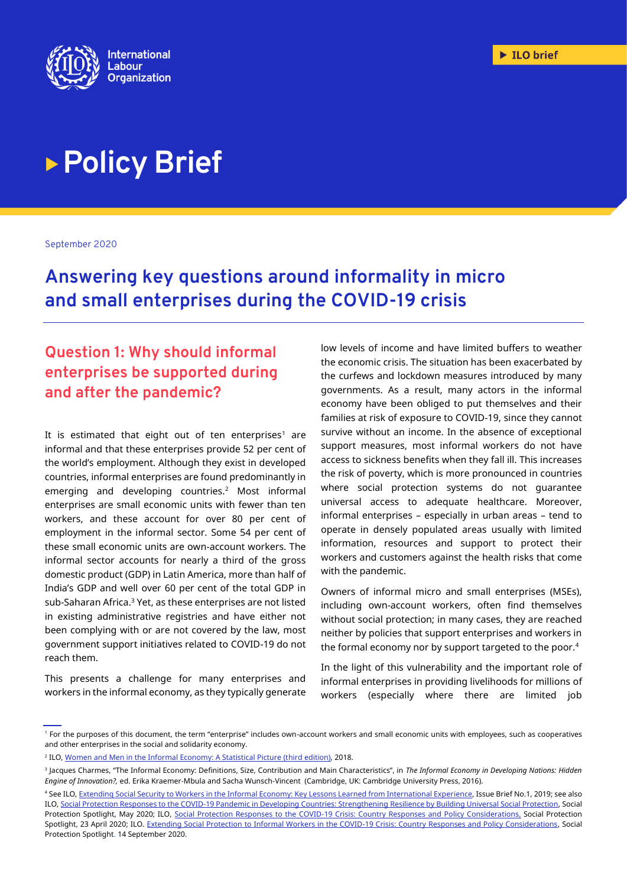

# **Policy Brief**

September 2020

**Answering key questions around informality in micro and small enterprises during the COVID-19 crisis** 

## **Question 1: Why should informal enterprises be supported during and after the pandemic?**

It is estimated that eight out of ten enterprises<sup>1</sup> are informal and that these enterprises provide 52 per cent of the world's employment. Although they exist in developed countries, informal enterprises are found predominantly in emerging and developing countries.<sup>2</sup> Most informal enterprises are small economic units with fewer than ten workers, and these account for over 80 per cent of employment in the informal sector. Some 54 per cent of these small economic units are own-account workers. The informal sector accounts for nearly a third of the gross domestic product (GDP) in Latin America, more than half of India's GDP and well over 60 per cent of the total GDP in sub-Saharan Africa.<sup>3</sup> Yet, as these enterprises are not listed in existing administrative registries and have either not been complying with or are not covered by the law, most government support initiatives related to COVID-19 do not reach them.

This presents a challenge for many enterprises and workers in the informal economy, as they typically generate

low levels of income and have limited buffers to weather the economic crisis. The situation has been exacerbated by the curfews and lockdown measures introduced by many governments. As a result, many actors in the informal economy have been obliged to put themselves and their families at risk of exposure to COVID-19, since they cannot survive without an income. In the absence of exceptional support measures, most informal workers do not have access to sickness benefits when they fall ill. This increases the risk of poverty, which is more pronounced in countries where social protection systems do not guarantee universal access to adequate healthcare. Moreover, informal enterprises – especially in urban areas – tend to operate in densely populated areas usually with limited information, resources and support to protect their workers and customers against the health risks that come with the pandemic.

Owners of informal micro and small enterprises (MSEs), including own-account workers, often find themselves without social protection; in many cases, they are reached neither by policies that support enterprises and workers in the formal economy nor by support targeted to the poor.<sup>4</sup>

In the light of this vulnerability and the important role of informal enterprises in providing livelihoods for millions of workers (especially where there are limited job

<sup>1</sup> For the purposes of this document, the term "enterprise" includes own-account workers and small economic units with employees, such as cooperatives and other enterprises in the social and solidarity economy.

<sup>2</sup> ILO, [Women and Men in the Informal Economy: A Statistical Picture \(third edition\),](http://www.ilo.org/wcmsp5/groups/public/---dgreports/---dcomm/documents/publication/wcms_626831.pdf) 2018.

<sup>3</sup> Jacques Charmes, "The Informal Economy: Definitions, Size, Contribution and Main Characteristics", in *The Informal Economy in Developing Nations: Hidden Engine of Innovation?,* ed. Erika Kraemer-Mbula and Sacha Wunsch-Vincent (Cambridge, UK: Cambridge University Press, 2016).

<sup>4</sup> See ILO[, Extending Social Security to Workers in the Informal Economy: Key Lessons Learned from International Experience,](http://www.social-protection.org/gimi/RessourceDownload.action?id=55729) Issue Brief No.1, 2019; see also ILO[, Social Protection Responses to the COVID-19 Pandemic in Developing Countries: Strengthening Resilience by Building Universal Social Protection,](http://www.ilo.org/wcmsp5/groups/public/---ed_protect/---soc_sec/documents/publication/wcms_744612.pdf) Social Protection Spotlight, May 2020; ILO, [Social Protection Responses to the COVID-19 Crisis: Country Responses and Policy Considerations,](https://www.social-protection.org/gimi/RessourcePDF.action?id=56044) Social Protection Spotlight, 23 April 2020; ILO[. Extending Social Protection to Informal Workers in the COVID-19 Crisis: Country Responses and Policy Considerations,](https://www.social-protection.org/gimi/RessourcePDF.action?id=56833) Social Protection Spotlight. 14 September 2020.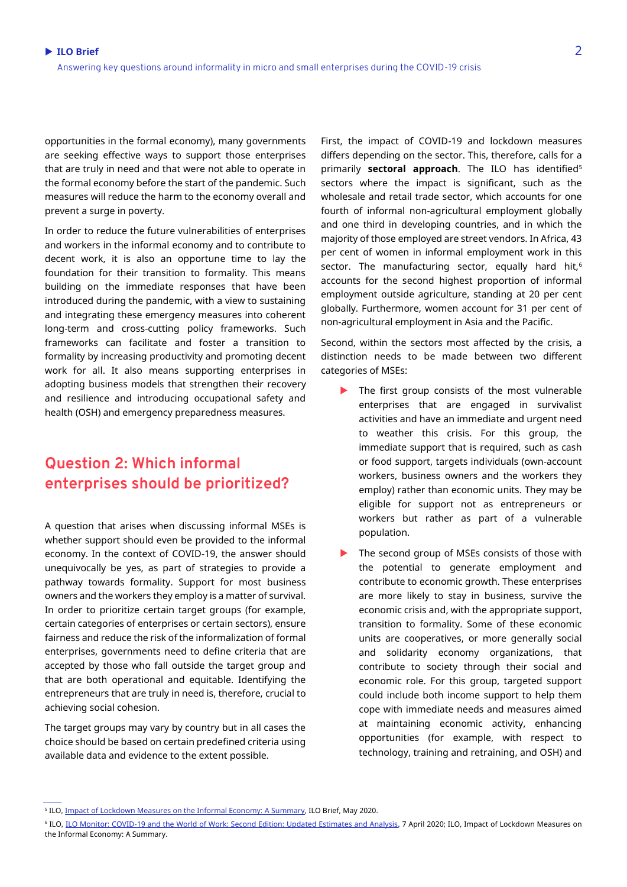opportunities in the formal economy), many governments are seeking effective ways to support those enterprises that are truly in need and that were not able to operate in the formal economy before the start of the pandemic. Such measures will reduce the harm to the economy overall and prevent a surge in poverty.

In order to reduce the future vulnerabilities of enterprises and workers in the informal economy and to contribute to decent work, it is also an opportune time to lay the foundation for their transition to formality. This means building on the immediate responses that have been introduced during the pandemic, with a view to sustaining and integrating these emergency measures into coherent long-term and cross-cutting policy frameworks. Such frameworks can facilitate and foster a transition to formality by increasing productivity and promoting decent work for all. It also means supporting enterprises in adopting business models that strengthen their recovery and resilience and introducing occupational safety and health (OSH) and emergency preparedness measures.

## **Question 2: Which informal enterprises should be prioritized?**

A question that arises when discussing informal MSEs is whether support should even be provided to the informal economy. In the context of COVID-19, the answer should unequivocally be yes, as part of strategies to provide a pathway towards formality. Support for most business owners and the workers they employ is a matter of survival. In order to prioritize certain target groups (for example, certain categories of enterprises or certain sectors), ensure fairness and reduce the risk of the informalization of formal enterprises, governments need to define criteria that are accepted by those who fall outside the target group and that are both operational and equitable. Identifying the entrepreneurs that are truly in need is, therefore, crucial to achieving social cohesion.

The target groups may vary by country but in all cases the choice should be based on certain predefined criteria using available data and evidence to the extent possible.

First, the impact of COVID-19 and lockdown measures differs depending on the sector. This, therefore, calls for a primarily **sectoral approach**. The ILO has identified<sup>5</sup> sectors where the impact is significant, such as the wholesale and retail trade sector, which accounts for one fourth of informal non-agricultural employment globally and one third in developing countries, and in which the majority of those employed are street vendors. In Africa, 43 per cent of women in informal employment work in this sector. The manufacturing sector, equally hard hit,<sup>6</sup> accounts for the second highest proportion of informal employment outside agriculture, standing at 20 per cent globally. Furthermore, women account for 31 per cent of non-agricultural employment in Asia and the Pacific.

Second, within the sectors most affected by the crisis, a distinction needs to be made between two different categories of MSEs:

- The first group consists of the most vulnerable enterprises that are engaged in survivalist activities and have an immediate and urgent need to weather this crisis. For this group, the immediate support that is required, such as cash or food support, targets individuals (own-account workers, business owners and the workers they employ) rather than economic units. They may be eligible for support not as entrepreneurs or workers but rather as part of a vulnerable population.
- The second group of MSEs consists of those with the potential to generate employment and contribute to economic growth. These enterprises are more likely to stay in business, survive the economic crisis and, with the appropriate support, transition to formality. Some of these economic units are cooperatives, or more generally social and solidarity economy organizations, that contribute to society through their social and economic role. For this group, targeted support could include both income support to help them cope with immediate needs and measures aimed at maintaining economic activity, enhancing opportunities (for example, with respect to technology, training and retraining, and OSH) and

<sup>&</sup>lt;sup>5</sup> ILO, <u>Impact of Lockdown Measures on the Informal Economy: A Summary</u>, ILO Brief, May 2020.

<sup>&</sup>lt;sup>6</sup> ILO, <u>ILO Monitor: COVID-19 and the World of Work: Second Edition: Updated Estimates and Analysis, 7 April 2020; ILO, Impact of Lockdown Measures on</u> [the Informal Economy:](https://www.ilo.org/wcmsp5/groups/public/---ed_protect/---protrav/---travail/documents/briefingnote/wcms_743523.pdf) A Summary.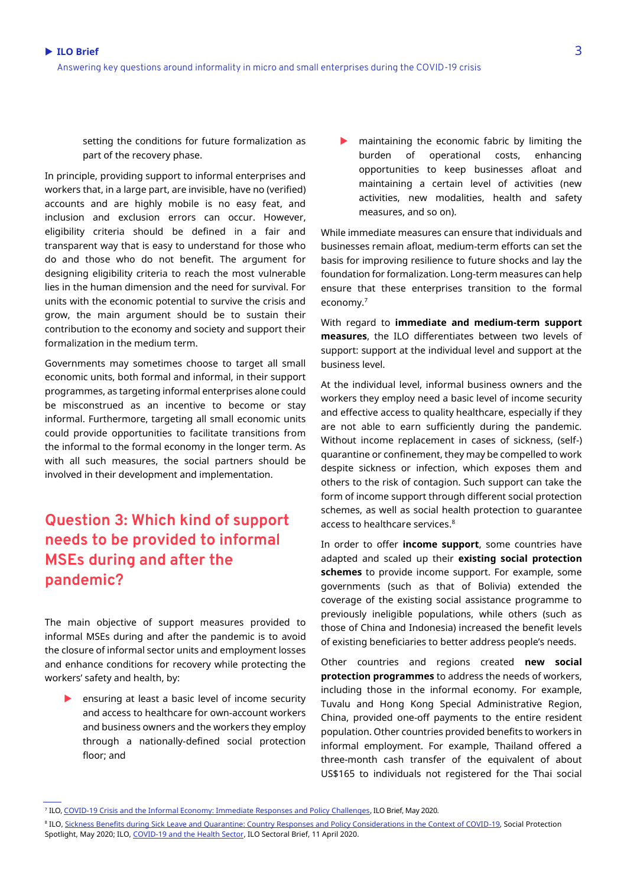setting the conditions for future formalization as part of the recovery phase.

In principle, providing support to informal enterprises and workers that, in a large part, are invisible, have no (verified) accounts and are highly mobile is no easy feat, and inclusion and exclusion errors can occur. However, eligibility criteria should be defined in a fair and transparent way that is easy to understand for those who do and those who do not benefit. The argument for designing eligibility criteria to reach the most vulnerable lies in the human dimension and the need for survival. For units with the economic potential to survive the crisis and grow, the main argument should be to sustain their contribution to the economy and society and support their formalization in the medium term.

Governments may sometimes choose to target all small economic units, both formal and informal, in their support programmes, as targeting informal enterprises alone could be misconstrued as an incentive to become or stay informal. Furthermore, targeting all small economic units could provide opportunities to facilitate transitions from the informal to the formal economy in the longer term. As with all such measures, the social partners should be involved in their development and implementation.

## **Question 3: Which kind of support needs to be provided to informal MSEs during and after the pandemic?**

The main objective of support measures provided to informal MSEs during and after the pandemic is to avoid the closure of informal sector units and employment losses and enhance conditions for recovery while protecting the workers' safety and health, by:

 ensuring at least a basic level of income security and access to healthcare for own-account workers and business owners and the workers they employ through a nationally-defined social protection floor; and

 maintaining the economic fabric by limiting the burden of operational costs, enhancing opportunities to keep businesses afloat and maintaining a certain level of activities (new activities, new modalities, health and safety measures, and so on).

While immediate measures can ensure that individuals and businesses remain afloat, medium-term efforts can set the basis for improving resilience to future shocks and lay the foundation for formalization. Long-term measures can help ensure that these enterprises transition to the formal economy.<sup>7</sup>

With regard to **immediate and medium-term support measures**, the ILO differentiates between two levels of support: support at the individual level and support at the business level.

At the individual level, informal business owners and the workers they employ need a basic level of income security and effective access to quality healthcare, especially if they are not able to earn sufficiently during the pandemic. Without income replacement in cases of sickness, (self-) quarantine or confinement, they may be compelled to work despite sickness or infection, which exposes them and others to the risk of contagion. Such support can take the form of income support through different social protection schemes, as well as social health protection to guarantee access to healthcare services.<sup>8</sup>

In order to offer **income support**, some countries have adapted and scaled up their **existing social protection schemes** to provide income support. For example, some governments (such as that of Bolivia) extended the coverage of the existing social assistance programme to previously ineligible populations, while others (such as those of China and Indonesia) increased the benefit levels of existing beneficiaries to better address people's needs.

Other countries and regions created **new social protection programmes** to address the needs of workers, including those in the informal economy. For example, Tuvalu and Hong Kong Special Administrative Region, China, provided one-off payments to the entire resident population. Other countries provided benefits to workers in informal employment. For example, Thailand offered a three-month cash transfer of the equivalent of about US\$165 to individuals not registered for the Thai social

<sup>8</sup> ILO, [Sickness Benefits during Sick Leave and Quarantine: Country Responses and Policy Considerations in the Context of COVID-19,](http://www.ilo.org/wcmsp5/groups/public/---ed_protect/---soc_sec/documents/publication/wcms_744510.pdf) Social Protection Spotlight, May 2020; ILO, [COVID-19 and the Health Sector,](http://www.ilo.org/wcmsp5/groups/public/---ed_dialogue/---sector/documents/briefingnote/wcms_741655.pdf) ILO Sectoral Brief, 11 April 2020.

<sup>7</sup> ILO[, COVID-19 Crisis and the Informal Economy: Immediate Responses and Policy Challenges,](http://www.ilo.org/wcmsp5/groups/public/---ed_protect/---protrav/---travail/documents/briefingnote/wcms_743623.pdf) ILO Brief, May 2020.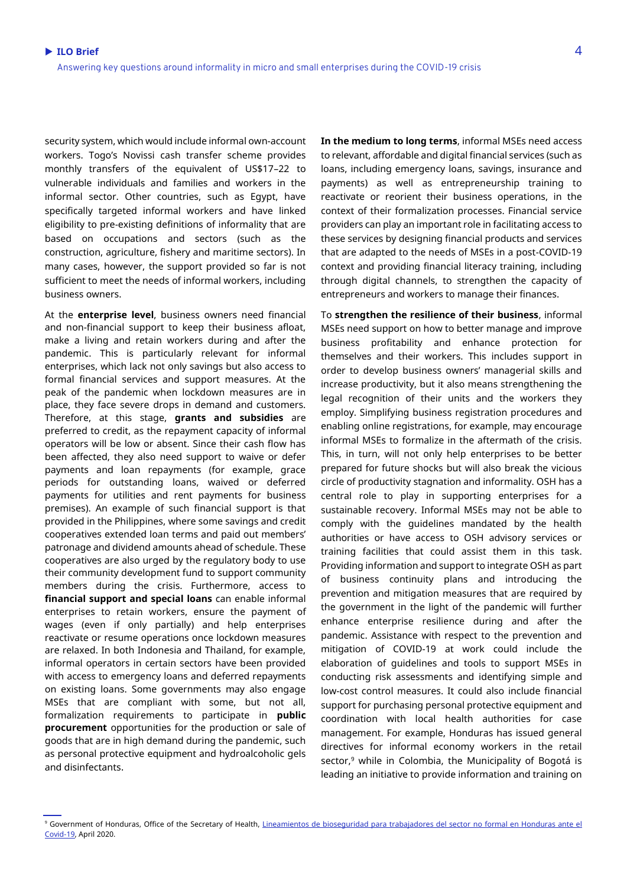security system, which would include informal own-account workers. Togo's Novissi cash transfer scheme provides monthly transfers of the equivalent of US\$17–22 to vulnerable individuals and families and workers in the informal sector. Other countries, such as Egypt, have specifically targeted informal workers and have linked eligibility to pre-existing definitions of informality that are based on occupations and sectors (such as the construction, agriculture, fishery and maritime sectors). In many cases, however, the support provided so far is not sufficient to meet the needs of informal workers, including business owners.

At the **enterprise level**, business owners need financial and non-financial support to keep their business afloat, make a living and retain workers during and after the pandemic. This is particularly relevant for informal enterprises, which lack not only savings but also access to formal financial services and support measures. At the peak of the pandemic when lockdown measures are in place, they face severe drops in demand and customers. Therefore, at this stage, **grants and subsidies** are preferred to credit, as the repayment capacity of informal operators will be low or absent. Since their cash flow has been affected, they also need support to waive or defer payments and loan repayments (for example, grace periods for outstanding loans, waived or deferred payments for utilities and rent payments for business premises). An example of such financial support is that provided in the Philippines, where some savings and credit cooperatives extended loan terms and paid out members' patronage and dividend amounts ahead of schedule. These cooperatives are also urged by the regulatory body to use their community development fund to support community members during the crisis. Furthermore, access to **financial support and special loans** can enable informal enterprises to retain workers, ensure the payment of wages (even if only partially) and help enterprises reactivate or resume operations once lockdown measures are relaxed. In both Indonesia and Thailand, for example, informal operators in certain sectors have been provided with access to emergency loans and deferred repayments on existing loans. Some governments may also engage MSEs that are compliant with some, but not all, formalization requirements to participate in **public procurement** opportunities for the production or sale of goods that are in high demand during the pandemic, such as personal protective equipment and hydroalcoholic gels and disinfectants.

**In the medium to long terms**, informal MSEs need access to relevant, affordable and digital financial services (such as loans, including emergency loans, savings, insurance and payments) as well as entrepreneurship training to reactivate or reorient their business operations, in the context of their formalization processes. Financial service providers can play an important role in facilitating access to these services by designing financial products and services that are adapted to the needs of MSEs in a post-COVID-19 context and providing financial literacy training, including through digital channels, to strengthen the capacity of entrepreneurs and workers to manage their finances.

To **strengthen the resilience of their business**, informal MSEs need support on how to better manage and improve business profitability and enhance protection for themselves and their workers. This includes support in order to develop business owners' managerial skills and increase productivity, but it also means strengthening the legal recognition of their units and the workers they employ. Simplifying business registration procedures and enabling online registrations, for example, may encourage informal MSEs to formalize in the aftermath of the crisis. This, in turn, will not only help enterprises to be better prepared for future shocks but will also break the vicious circle of productivity stagnation and informality. OSH has a central role to play in supporting enterprises for a sustainable recovery. Informal MSEs may not be able to comply with the guidelines mandated by the health authorities or have access to OSH advisory services or training facilities that could assist them in this task. Providing information and support to integrate OSH as part of business continuity plans and introducing the prevention and mitigation measures that are required by the government in the light of the pandemic will further enhance enterprise resilience during and after the pandemic. Assistance with respect to the prevention and mitigation of COVID-19 at work could include the elaboration of guidelines and tools to support MSEs in conducting risk assessments and identifying simple and low-cost control measures. It could also include financial support for purchasing personal protective equipment and coordination with local health authorities for case management. For example, Honduras has issued general directives for informal economy workers in the retail sector,<sup>9</sup> while in Colombia, the Municipality of Bogotá is leading an initiative to provide information and training on

<sup>&</sup>lt;sup>9</sup> Government of Honduras, Office of the Secretary of Health, Lineamientos de bioseguridad para trabajadores del sector no formal en Honduras ante el [Covid-19,](http://www.trabajo.gob.hn/wp-content/uploads/2020/04/Lineamientos-generales-de-bioseguridad-para-trabajadores-del-sector-no-formal-en-Honduras-ante-el-Covid.pdf) April 2020.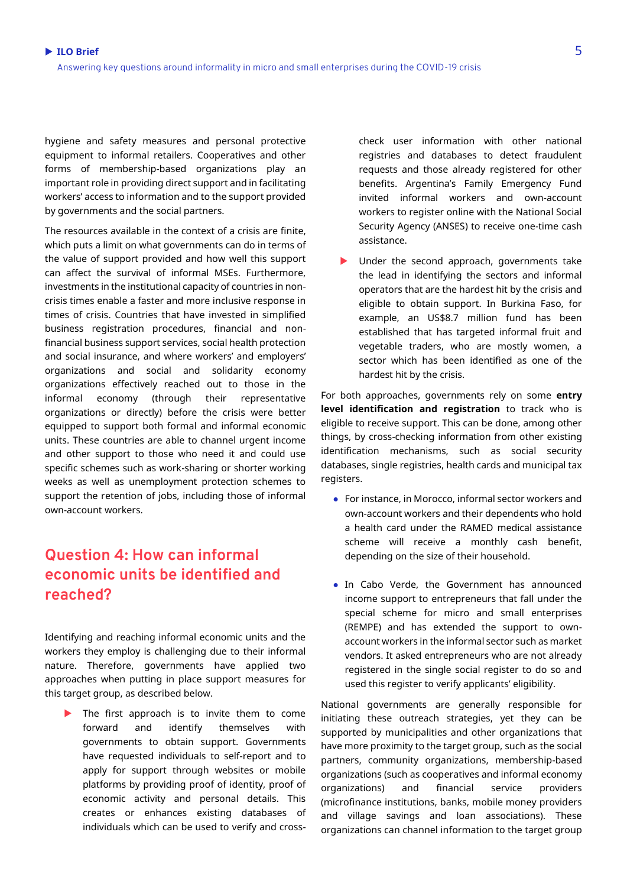hygiene and safety measures and personal protective equipment to informal retailers. Cooperatives and other forms of membership-based organizations play an important role in providing direct support and in facilitating workers' access to information and to the support provided by governments and the social partners.

The resources available in the context of a crisis are finite, which puts a limit on what governments can do in terms of the value of support provided and how well this support can affect the survival of informal MSEs. Furthermore, investments in the institutional capacity of countries in noncrisis times enable a faster and more inclusive response in times of crisis. Countries that have invested in simplified business registration procedures, financial and nonfinancial business support services, social health protection and social insurance, and where workers' and employers' organizations and social and solidarity economy organizations effectively reached out to those in the informal economy (through their representative organizations or directly) before the crisis were better equipped to support both formal and informal economic units. These countries are able to channel urgent income and other support to those who need it and could use specific schemes such as work-sharing or shorter working weeks as well as unemployment protection schemes to support the retention of jobs, including those of informal own-account workers.

### **Question 4: How can informal economic units be identified and reached?**

Identifying and reaching informal economic units and the workers they employ is challenging due to their informal nature. Therefore, governments have applied two approaches when putting in place support measures for this target group, as described below.

 The first approach is to invite them to come forward and identify themselves with governments to obtain support. Governments have requested individuals to self-report and to apply for support through websites or mobile platforms by providing proof of identity, proof of economic activity and personal details. This creates or enhances existing databases of individuals which can be used to verify and cross-

check user information with other national registries and databases to detect fraudulent requests and those already registered for other benefits. Argentina's Family Emergency Fund invited informal workers and own-account workers to register online with the National Social Security Agency (ANSES) to receive one-time cash assistance.

 Under the second approach, governments take the lead in identifying the sectors and informal operators that are the hardest hit by the crisis and eligible to obtain support. In Burkina Faso, for example, an US\$8.7 million fund has been established that has targeted informal fruit and vegetable traders, who are mostly women, a sector which has been identified as one of the hardest hit by the crisis.

For both approaches, governments rely on some **entry level identification and registration** to track who is eligible to receive support. This can be done, among other things, by cross-checking information from other existing identification mechanisms, such as social security databases, single registries, health cards and municipal tax registers.

- For instance, in Morocco, informal sector workers and own-account workers and their dependents who hold a health card under the RAMED medical assistance scheme will receive a monthly cash benefit, depending on the size of their household.
- In Cabo Verde, the Government has announced income support to entrepreneurs that fall under the special scheme for micro and small enterprises (REMPE) and has extended the support to ownaccount workers in the informal sector such as market vendors. It asked entrepreneurs who are not already registered in the single social register to do so and used this register to verify applicants' eligibility.

National governments are generally responsible for initiating these outreach strategies, yet they can be supported by municipalities and other organizations that have more proximity to the target group, such as the social partners, community organizations, membership-based organizations (such as cooperatives and informal economy organizations) and financial service providers (microfinance institutions, banks, mobile money providers and village savings and loan associations). These organizations can channel information to the target group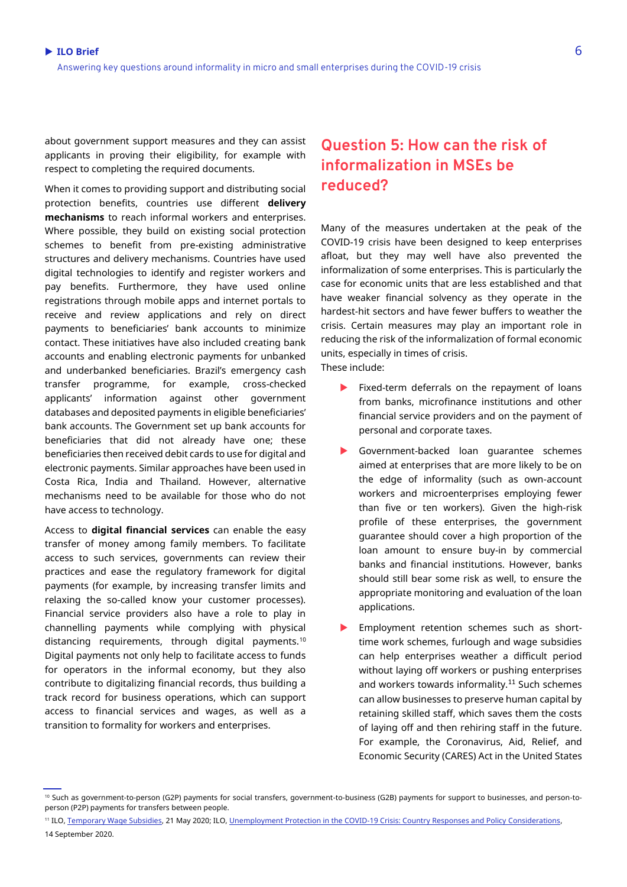about government support measures and they can assist applicants in proving their eligibility, for example with respect to completing the required documents.

When it comes to providing support and distributing social protection benefits, countries use different **delivery mechanisms** to reach informal workers and enterprises. Where possible, they build on existing social protection schemes to benefit from pre-existing administrative structures and delivery mechanisms. Countries have used digital technologies to identify and register workers and pay benefits. Furthermore, they have used online registrations through mobile apps and internet portals to receive and review applications and rely on direct payments to beneficiaries' bank accounts to minimize contact. These initiatives have also included creating bank accounts and enabling electronic payments for unbanked and underbanked beneficiaries. Brazil's emergency cash transfer programme, for example, cross-checked applicants' information against other government databases and deposited payments in eligible beneficiaries' bank accounts. The Government set up bank accounts for beneficiaries that did not already have one; these beneficiaries then received debit cards to use for digital and electronic payments. Similar approaches have been used in Costa Rica, India and Thailand. However, alternative mechanisms need to be available for those who do not have access to technology.

Access to **digital financial services** can enable the easy transfer of money among family members. To facilitate access to such services, governments can review their practices and ease the regulatory framework for digital payments (for example, by increasing transfer limits and relaxing the so-called know your customer processes). Financial service providers also have a role to play in channelling payments while complying with physical distancing requirements, through digital payments.<sup>10</sup> Digital payments not only help to facilitate access to funds for operators in the informal economy, but they also contribute to digitalizing financial records, thus building a track record for business operations, which can support access to financial services and wages, as well as a transition to formality for workers and enterprises.

### **Question 5: How can the risk of informalization in MSEs be reduced?**

Many of the measures undertaken at the peak of the COVID-19 crisis have been designed to keep enterprises afloat, but they may well have also prevented the informalization of some enterprises. This is particularly the case for economic units that are less established and that have weaker financial solvency as they operate in the hardest-hit sectors and have fewer buffers to weather the crisis. Certain measures may play an important role in reducing the risk of the informalization of formal economic units, especially in times of crisis. These include:

- Fixed-term deferrals on the repayment of loans from banks, microfinance institutions and other financial service providers and on the payment of personal and corporate taxes.
- Government-backed loan guarantee schemes aimed at enterprises that are more likely to be on the edge of informality (such as own-account workers and microenterprises employing fewer than five or ten workers). Given the high-risk profile of these enterprises, the government guarantee should cover a high proportion of the loan amount to ensure buy-in by commercial banks and financial institutions. However, banks should still bear some risk as well, to ensure the appropriate monitoring and evaluation of the loan applications.
- Employment retention schemes such as shorttime work schemes, furlough and wage subsidies can help enterprises weather a difficult period without laying off workers or pushing enterprises and workers towards informality.<sup>11</sup> Such schemes can allow businesses to preserve human capital by retaining skilled staff, which saves them the costs of laying off and then rehiring staff in the future. For example, the Coronavirus, Aid, Relief, and Economic Security (CARES) Act in the United States

<sup>&</sup>lt;sup>10</sup> Such as government-to-person (G2P) payments for social transfers, government-to-business (G2B) payments for support to businesses, and person-toperson (P2P) payments for transfers between people.

<sup>11</sup> ILO[, Temporary Wage Subsidies,](http://www.ilo.org/wcmsp5/groups/public/---ed_protect/---protrav/---travail/documents/publication/wcms_745666.pdf) 21 May 2020; ILO, [Unemployment Protection in the COVID-19 Crisis: Country Responses and Policy](https://www.social-protection.org/gimi/RessourcePDF.action?id=56834) Considerations,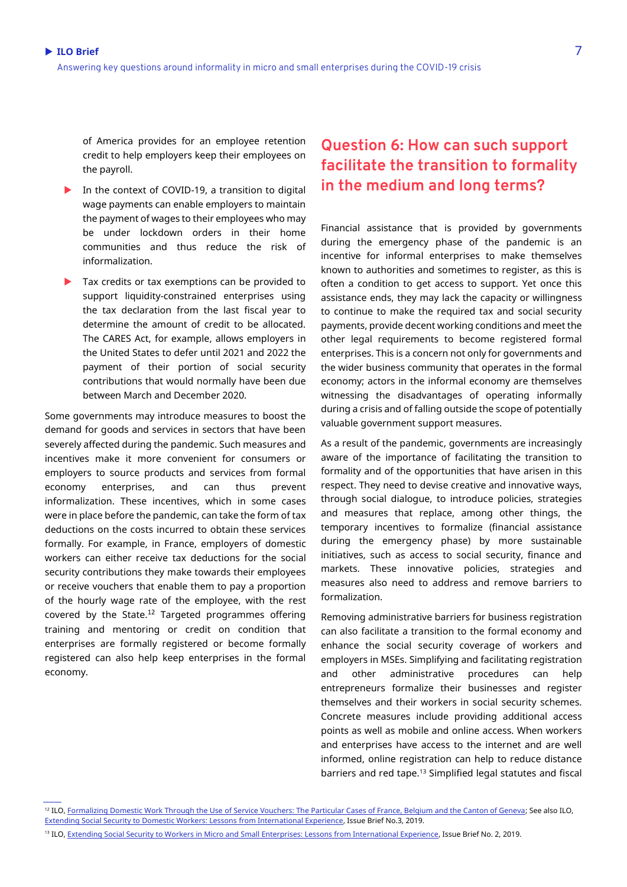of America provides for an employee retention credit to help employers keep their employees on the payroll.

- In the context of COVID-19, a transition to digital wage payments can enable employers to maintain the payment of wages to their employees who may be under lockdown orders in their home communities and thus reduce the risk of informalization.
- Tax credits or tax exemptions can be provided to support liquidity-constrained enterprises using the tax declaration from the last fiscal year to determine the amount of credit to be allocated. The CARES Act, for example, allows employers in the United States to defer until 2021 and 2022 the payment of their portion of social security contributions that would normally have been due between March and December 2020.

Some governments may introduce measures to boost the demand for goods and services in sectors that have been severely affected during the pandemic. Such measures and incentives make it more convenient for consumers or employers to source products and services from formal economy enterprises, and can thus prevent informalization. These incentives, which in some cases were in place before the pandemic, can take the form of tax deductions on the costs incurred to obtain these services formally. For example, in France, employers of domestic workers can either receive tax deductions for the social security contributions they make towards their employees or receive vouchers that enable them to pay a proportion of the hourly wage rate of the employee, with the rest covered by the State.<sup>12</sup> Targeted programmes offering training and mentoring or credit on condition that enterprises are formally registered or become formally registered can also help keep enterprises in the formal economy.

### **Question 6: How can such support facilitate the transition to formality in the medium and long terms?**

Financial assistance that is provided by governments during the emergency phase of the pandemic is an incentive for informal enterprises to make themselves known to authorities and sometimes to register, as this is often a condition to get access to support. Yet once this assistance ends, they may lack the capacity or willingness to continue to make the required tax and social security payments, provide decent working conditions and meet the other legal requirements to become registered formal enterprises. This is a concern not only for governments and the wider business community that operates in the formal economy; actors in the informal economy are themselves witnessing the disadvantages of operating informally during a crisis and of falling outside the scope of potentially valuable government support measures.

As a result of the pandemic, governments are increasingly aware of the importance of facilitating the transition to formality and of the opportunities that have arisen in this respect. They need to devise creative and innovative ways, through social dialogue, to introduce policies, strategies and measures that replace, among other things, the temporary incentives to formalize (financial assistance during the emergency phase) by more sustainable initiatives, such as access to social security, finance and markets. These innovative policies, strategies and measures also need to address and remove barriers to formalization.

Removing administrative barriers for business registration can also facilitate a transition to the formal economy and enhance the social security coverage of workers and employers in MSEs. Simplifying and facilitating registration and other administrative procedures can help entrepreneurs formalize their businesses and register themselves and their workers in social security schemes. Concrete measures include providing additional access points as well as mobile and online access. When workers and enterprises have access to the internet and are well informed, online registration can help to reduce distance barriers and red tape.<sup>13</sup> Simplified legal statutes and fiscal

<sup>13</sup> ILO[, Extending Social Security to Workers in Micro and Small Enterprises: Lessons from International Experience,](http://www.ilo.org/wcmsp5/groups/public/---ed_protect/---soc_sec/documents/publication/wcms_749484.pdf) Issue Brief No. 2, 2019.

<sup>&</sup>lt;sup>12</sup> ILO, Formalizing Domestic Work Through the Use [of Service Vouchers: The Particular Cases of France, Belgium and the Canton of Geneva;](https://www.ilo.org/wcmsp5/groups/public/---ed_dialogue/---actrav/documents/publication/wcms_220717.pdf) See also ILO, [Extending Social Security to Domestic Workers: Lessons from International Experience,](http://www.social-protection.org/gimi/gess/RessourcePDF.action?id=55723) Issue Brief No.3, 2019.